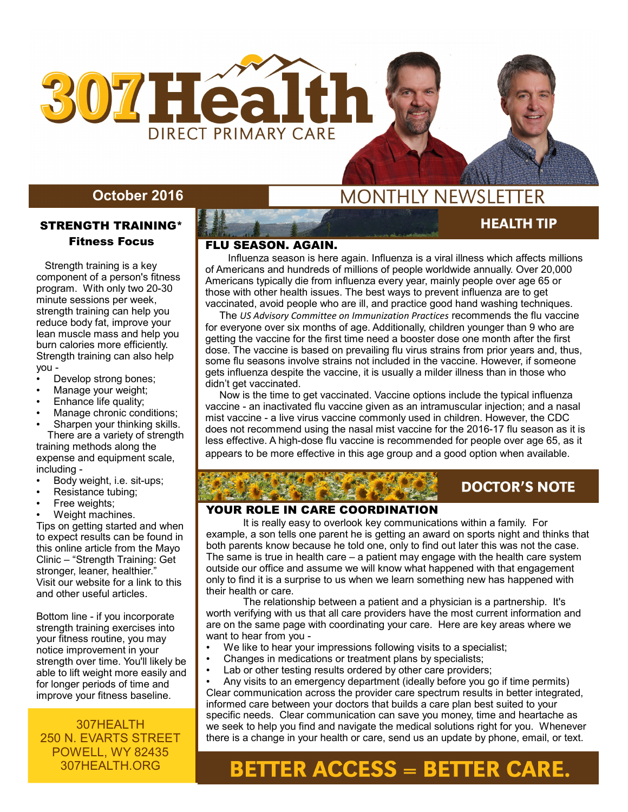

#### **October 2016**

#### STRENGTH TRAINING\* Fitness Focus

 Strength training is a key component of a person's fitness program. With only two 20-30 minute sessions per week, strength training can help you reduce body fat, improve your lean muscle mass and help you burn calories more efficiently. Strength training can also help you -

- Develop strong bones;
- Manage your weight;
- Enhance life quality;
- Manage chronic conditions;
- Sharpen your thinking skills. There are a variety of strength training methods along the expense and equipment scale, including -
- Body weight, i.e. sit-ups;
- Resistance tubing;
- Free weights;
- Weight machines.

Tips on getting started and when to expect results can be found in this online article from the Mayo Clinic – "Strength Training: Get stronger, leaner, healthier." Visit our website for a link to this and other useful articles.

Bottom line - if you incorporate strength training exercises into your fitness routine, you may notice improvement in your strength over time. You'll likely be able to lift weight more easily and for longer periods of time and improve your fitness baseline.

307HEALTH 250 N. EVARTS STREET POWELL, WY 82435 307HEALTH.ORG

## **MONTHLY NEWSLETTER**

**HEALTH TIP** 

**AUGUST 2015** 

#### FLU SEASON. AGAIN.

 Influenza season is here again. Influenza is a viral illness which affects millions of Americans and hundreds of millions of people worldwide annually. Over 20,000 Americans typically die from influenza every year, mainly people over age 65 or those with other health issues. The best ways to prevent influenza are to get vaccinated, avoid people who are ill, and practice good hand washing techniques.

 The *US Advisory Committee on Immunization Practices* recommends the flu vaccine for everyone over six months of age. Additionally, children younger than 9 who are getting the vaccine for the first time need a booster dose one month after the first dose. The vaccine is based on prevailing flu virus strains from prior years and, thus, some flu seasons involve strains not included in the vaccine. However, if someone gets influenza despite the vaccine, it is usually a milder illness than in those who didn't get vaccinated.

 Now is the time to get vaccinated. Vaccine options include the typical influenza vaccine - an inactivated flu vaccine given as an intramuscular injection; and a nasal mist vaccine - a live virus vaccine commonly used in children. However, the CDC does not recommend using the nasal mist vaccine for the 2016-17 flu season as it is less effective. A high-dose flu vaccine is recommended for people over age 65, as it appears to be more effective in this age group and a good option when available.

## **DOCTOR'S NOTE**

#### YOUR ROLE IN CARE COORDINATION

 It is really easy to overlook key communications within a family. For example, a son tells one parent he is getting an award on sports night and thinks that both parents know because he told one, only to find out later this was not the case. The same is true in health care – a patient may engage with the health care system outside our office and assume we will know what happened with that engagement only to find it is a surprise to us when we learn something new has happened with their health or care.

The relationship between a patient and a physician is a partnership. It's worth verifying with us that all care providers have the most current information and are on the same page with coordinating your care. Here are key areas where we want to hear from you -

- We like to hear your impressions following visits to a specialist;
- Changes in medications or treatment plans by specialists;
- Lab or other testing results ordered by other care providers;

Any visits to an emergency department (ideally before you go if time permits) Clear communication across the provider care spectrum results in better integrated, informed care between your doctors that builds a care plan best suited to your specific needs. Clear communication can save you money, time and heartache as we seek to help you find and navigate the medical solutions right for you. Whenever there is a change in your health or care, send us an update by phone, email, or text.

# **BETTER ACCESS = BETTER CARE.**